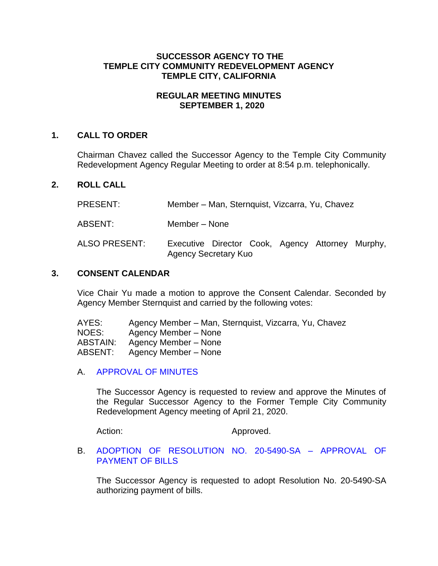# **SUCCESSOR AGENCY TO THE TEMPLE CITY COMMUNITY REDEVELOPMENT AGENCY TEMPLE CITY, CALIFORNIA**

# **REGULAR MEETING MINUTES SEPTEMBER 1, 2020**

# **1. CALL TO ORDER**

Chairman Chavez called the Successor Agency to the Temple City Community Redevelopment Agency Regular Meeting to order at 8:54 p.m. telephonically.

### **2. ROLL CALL**

PRESENT: Member – Man, Sternquist, Vizcarra, Yu, Chavez

ABSENT: Member – None

ALSO PRESENT: Executive Director Cook, Agency Attorney Murphy, Agency Secretary Kuo

#### **3. CONSENT CALENDAR**

Vice Chair Yu made a motion to approve the Consent Calendar. Seconded by Agency Member Sternquist and carried by the following votes:

| AYES:    | Agency Member – Man, Sternquist, Vizcarra, Yu, Chavez |
|----------|-------------------------------------------------------|
| NOES:    | Agency Member – None                                  |
| ABSTAIN: | Agency Member – None                                  |
| ABSENT:  | Agency Member – None                                  |

A. [APPROVAL OF MINUTES](https://ca-templecity.civicplus.com/DocumentCenter/View/14981/3A-SA-Minutes---2020-04-21)

The Successor Agency is requested to review and approve the Minutes of the Regular Successor Agency to the Former Temple City Community Redevelopment Agency meeting of April 21, 2020.

Action: Approved.

B. [ADOPTION OF RESOLUTION NO. 20-5490-SA –](https://ca-templecity.civicplus.com/DocumentCenter/View/14982/3B-SA-Warrant) APPROVAL OF [PAYMENT OF BILLS](https://ca-templecity.civicplus.com/DocumentCenter/View/14982/3B-SA-Warrant)

The Successor Agency is requested to adopt Resolution No. 20-5490-SA authorizing payment of bills.